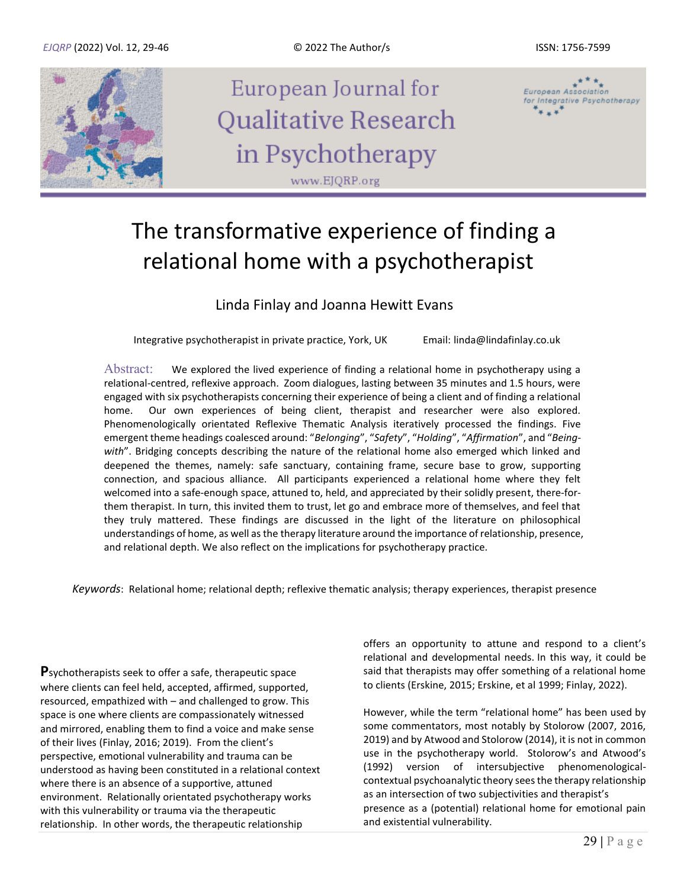

# The transformative experience of finding a relational home with a psychotherapist

### Linda Finlay and Joanna Hewitt Evans

Integrative psychotherapist in private practice, York, UK Email: linda@lindafinlay.co.uk

Abstract: We explored the lived experience of finding a relational home in psychotherapy using a relational-centred, reflexive approach. Zoom dialogues, lasting between 35 minutes and 1.5 hours, were engaged with six psychotherapists concerning their experience of being a client and of finding a relational home. Our own experiences of being client, therapist and researcher were also explored. Phenomenologically orientated Reflexive Thematic Analysis iteratively processed the findings. Five emergent theme headings coalesced around: "*Belonging*", "*Safety*", "*Holding*", "*Affirmation*", and "*Beingwith*". Bridging concepts describing the nature of the relational home also emerged which linked and deepened the themes, namely: safe sanctuary, containing frame, secure base to grow, supporting connection, and spacious alliance. All participants experienced a relational home where they felt welcomed into a safe-enough space, attuned to, held, and appreciated by their solidly present, there-forthem therapist. In turn, this invited them to trust, let go and embrace more of themselves, and feel that they truly mattered. These findings are discussed in the light of the literature on philosophical understandings of home, as well as the therapy literature around the importance of relationship, presence, and relational depth. We also reflect on the implications for psychotherapy practice.

*Keywords*: Relational home; relational depth; reflexive thematic analysis; therapy experiences, therapist presence

**P**sychotherapists seek to offer a safe, therapeutic space where clients can feel held, accepted, affirmed, supported, resourced, empathized with – and challenged to grow. This space is one where clients are compassionately witnessed and mirrored, enabling them to find a voice and make sense of their lives (Finlay, 2016; 2019). From the client's perspective, emotional vulnerability and trauma can be understood as having been constituted in a relational context where there is an absence of a supportive, attuned environment. Relationally orientated psychotherapy works with this vulnerability or trauma via the therapeutic relationship. In other words, the therapeutic relationship

offers an opportunity to attune and respond to a client's relational and developmental needs. In this way, it could be said that therapists may offer something of a relational home to clients (Erskine, 2015; Erskine, et al 1999; Finlay, 2022).

However, while the term "relational home" has been used by some commentators, most notably by Stolorow (2007, 2016, 2019) and by Atwood and Stolorow (2014), it is not in common use in the psychotherapy world. Stolorow's and Atwood's (1992) version of intersubjective phenomenologicalcontextual psychoanalytic theory sees the therapy relationship as an intersection of two subjectivities and therapist's presence as a (potential) relational home for emotional pain and existential vulnerability.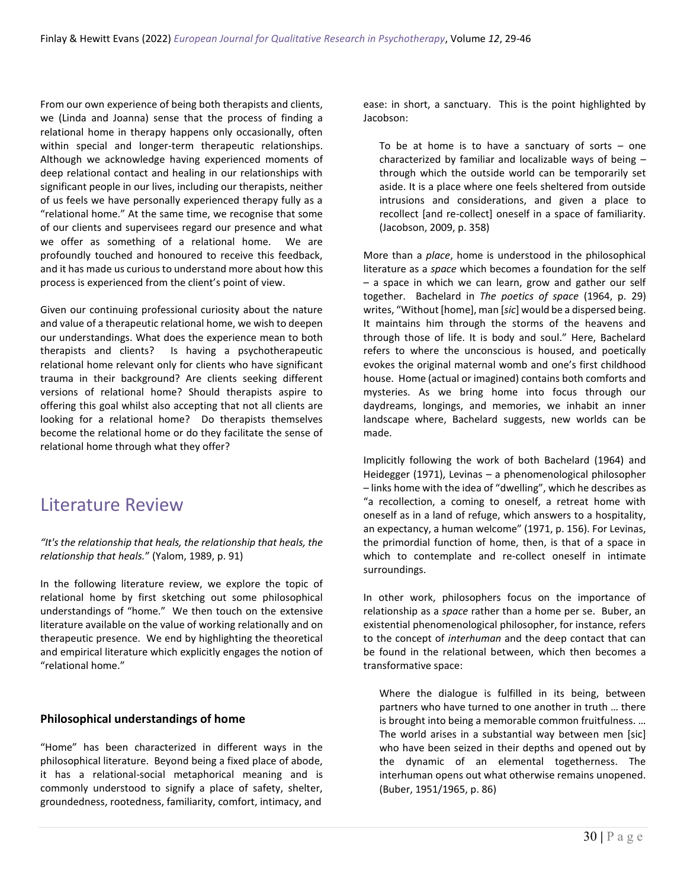From our own experience of being both therapists and clients, we (Linda and Joanna) sense that the process of finding a relational home in therapy happens only occasionally, often within special and longer-term therapeutic relationships. Although we acknowledge having experienced moments of deep relational contact and healing in our relationships with significant people in our lives, including our therapists, neither of us feels we have personally experienced therapy fully as a "relational home." At the same time, we recognise that some of our clients and supervisees regard our presence and what we offer as something of a relational home. We are profoundly touched and honoured to receive this feedback, and it has made us curious to understand more about how this process is experienced from the client's point of view.

Given our continuing professional curiosity about the nature and value of a therapeutic relational home, we wish to deepen our understandings. What does the experience mean to both therapists and clients? Is having a psychotherapeutic relational home relevant only for clients who have significant trauma in their background? Are clients seeking different versions of relational home? Should therapists aspire to offering this goal whilst also accepting that not all clients are looking for a relational home? Do therapists themselves become the relational home or do they facilitate the sense of relational home through what they offer?

### Literature Review

*"It's the relationship that heals, the relationship that heals, the relationship that heals.*" (Yalom, 1989, p. 91)

In the following literature review, we explore the topic of relational home by first sketching out some philosophical understandings of "home." We then touch on the extensive literature available on the value of working relationally and on therapeutic presence. We end by highlighting the theoretical and empirical literature which explicitly engages the notion of "relational home."

#### **Philosophical understandings of home**

"Home" has been characterized in different ways in the philosophical literature. Beyond being a fixed place of abode, it has a relational-social metaphorical meaning and is commonly understood to signify a place of safety, shelter, groundedness, rootedness, familiarity, comfort, intimacy, and

ease: in short, a sanctuary. This is the point highlighted by Jacobson:

To be at home is to have a sanctuary of sorts  $-$  one characterized by familiar and localizable ways of being – through which the outside world can be temporarily set aside. It is a place where one feels sheltered from outside intrusions and considerations, and given a place to recollect [and re-collect] oneself in a space of familiarity. (Jacobson, 2009, p. 358)

More than a *place*, home is understood in the philosophical literature as a *space* which becomes a foundation for the self – a space in which we can learn, grow and gather our self together. Bachelard in *The poetics of space* (1964, p. 29) writes, "Without [home], man [*sic*] would be a dispersed being. It maintains him through the storms of the heavens and through those of life. It is body and soul." Here, Bachelard refers to where the unconscious is housed, and poetically evokes the original maternal womb and one's first childhood house. Home (actual or imagined) contains both comforts and mysteries. As we bring home into focus through our daydreams, longings, and memories, we inhabit an inner landscape where, Bachelard suggests, new worlds can be made.

Implicitly following the work of both Bachelard (1964) and Heidegger (1971), Levinas – a phenomenological philosopher – links home with the idea of "dwelling", which he describes as "a recollection, a coming to oneself, a retreat home with oneself as in a land of refuge, which answers to a hospitality, an expectancy, a human welcome" (1971, p. 156). For Levinas, the primordial function of home, then, is that of a space in which to contemplate and re-collect oneself in intimate surroundings.

In other work, philosophers focus on the importance of relationship as a *space* rather than a home per se. Buber, an existential phenomenological philosopher, for instance, refers to the concept of *interhuman* and the deep contact that can be found in the relational between, which then becomes a transformative space:

Where the dialogue is fulfilled in its being, between partners who have turned to one another in truth … there is brought into being a memorable common fruitfulness. … The world arises in a substantial way between men [sic] who have been seized in their depths and opened out by the dynamic of an elemental togetherness. The interhuman opens out what otherwise remains unopened. (Buber, 1951/1965, p. 86)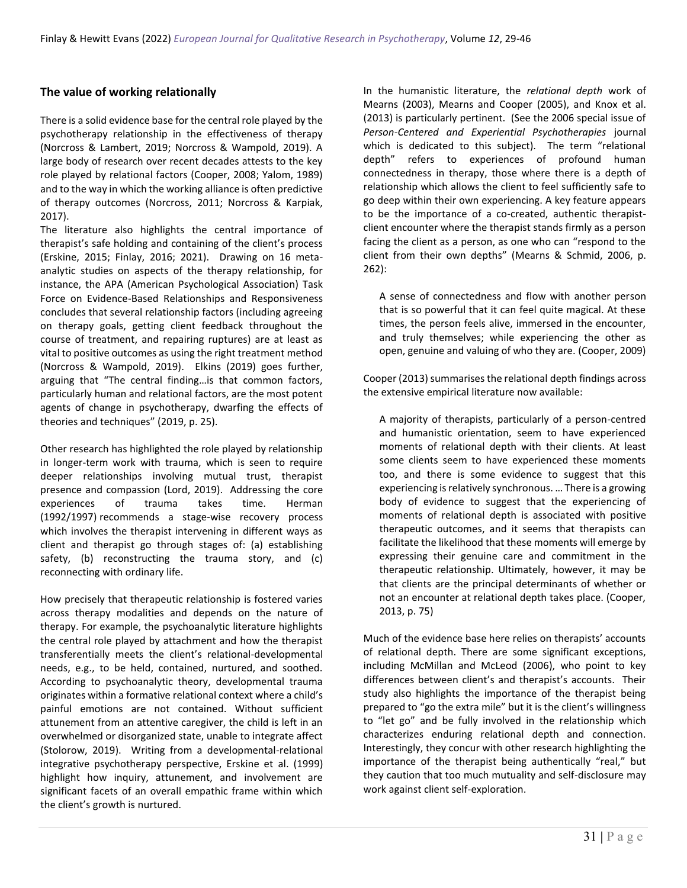### **The value of working relationally**

There is a solid evidence base for the central role played by the psychotherapy relationship in the effectiveness of therapy (Norcross & Lambert, 2019; Norcross & Wampold, 2019). A large body of research over recent decades attests to the key role played by relational factors (Cooper, 2008; Yalom, 1989) and to the way in which the working alliance is often predictive of therapy outcomes (Norcross, 2011; Norcross & Karpiak, 2017).

The literature also highlights the central importance of therapist's safe holding and containing of the client's process (Erskine, 2015; Finlay, 2016; 2021). Drawing on 16 metaanalytic studies on aspects of the therapy relationship, for instance, the APA (American Psychological Association) Task Force on Evidence-Based Relationships and Responsiveness concludes that several relationship factors (including agreeing on therapy goals, getting client feedback throughout the course of treatment, and repairing ruptures) are at least as vital to positive outcomes as using the right treatment method (Norcross & Wampold, 2019). Elkins (2019) goes further, arguing that "The central finding…is that common factors, particularly human and relational factors, are the most potent agents of change in psychotherapy, dwarfing the effects of theories and techniques" (2019, p. 25).

Other research has highlighted the role played by relationship in longer-term work with trauma, which is seen to require deeper relationships involving mutual trust, therapist presence and compassion (Lord, 2019). Addressing the core experiences of trauma takes time. Herman (1992/1997) recommends a stage-wise recovery process which involves the therapist intervening in different ways as client and therapist go through stages of: (a) establishing safety, (b) reconstructing the trauma story, and (c) reconnecting with ordinary life.

How precisely that therapeutic relationship is fostered varies across therapy modalities and depends on the nature of therapy. For example, the psychoanalytic literature highlights the central role played by attachment and how the therapist transferentially meets the client's relational-developmental needs, e.g., to be held, contained, nurtured, and soothed. According to psychoanalytic theory, developmental trauma originates within a formative relational context where a child's painful emotions are not contained. Without sufficient attunement from an attentive caregiver, the child is left in an overwhelmed or disorganized state, unable to integrate affect (Stolorow, 2019). Writing from a developmental-relational integrative psychotherapy perspective, Erskine et al. (1999) highlight how inquiry, attunement, and involvement are significant facets of an overall empathic frame within which the client's growth is nurtured.

In the humanistic literature, the *relational depth* work of Mearns (2003), Mearns and Cooper (2005), and Knox et al. (2013) is particularly pertinent. (See the 2006 special issue of *Person-Centered and Experiential Psychotherapies* journal which is dedicated to this subject). The term "relational depth" refers to experiences of profound human connectedness in therapy, those where there is a depth of relationship which allows the client to feel sufficiently safe to go deep within their own experiencing. A key feature appears to be the importance of a co-created, authentic therapistclient encounter where the therapist stands firmly as a person facing the client as a person, as one who can "respond to the client from their own depths" (Mearns & Schmid, 2006, p. 262):

A sense of connectedness and flow with another person that is so powerful that it can feel quite magical. At these times, the person feels alive, immersed in the encounter, and truly themselves; while experiencing the other as open, genuine and valuing of who they are. (Cooper, 2009)

Cooper (2013) summarises the relational depth findings across the extensive empirical literature now available:

A majority of therapists, particularly of a person-centred and humanistic orientation, seem to have experienced moments of relational depth with their clients. At least some clients seem to have experienced these moments too, and there is some evidence to suggest that this experiencing is relatively synchronous. … There is a growing body of evidence to suggest that the experiencing of moments of relational depth is associated with positive therapeutic outcomes, and it seems that therapists can facilitate the likelihood that these moments will emerge by expressing their genuine care and commitment in the therapeutic relationship. Ultimately, however, it may be that clients are the principal determinants of whether or not an encounter at relational depth takes place. (Cooper, 2013, p. 75)

Much of the evidence base here relies on therapists' accounts of relational depth. There are some significant exceptions, including McMillan and McLeod (2006), who point to key differences between client's and therapist's accounts. Their study also highlights the importance of the therapist being prepared to "go the extra mile" but it is the client's willingness to "let go" and be fully involved in the relationship which characterizes enduring relational depth and connection. Interestingly, they concur with other research highlighting the importance of the therapist being authentically "real," but they caution that too much mutuality and self-disclosure may work against client self-exploration.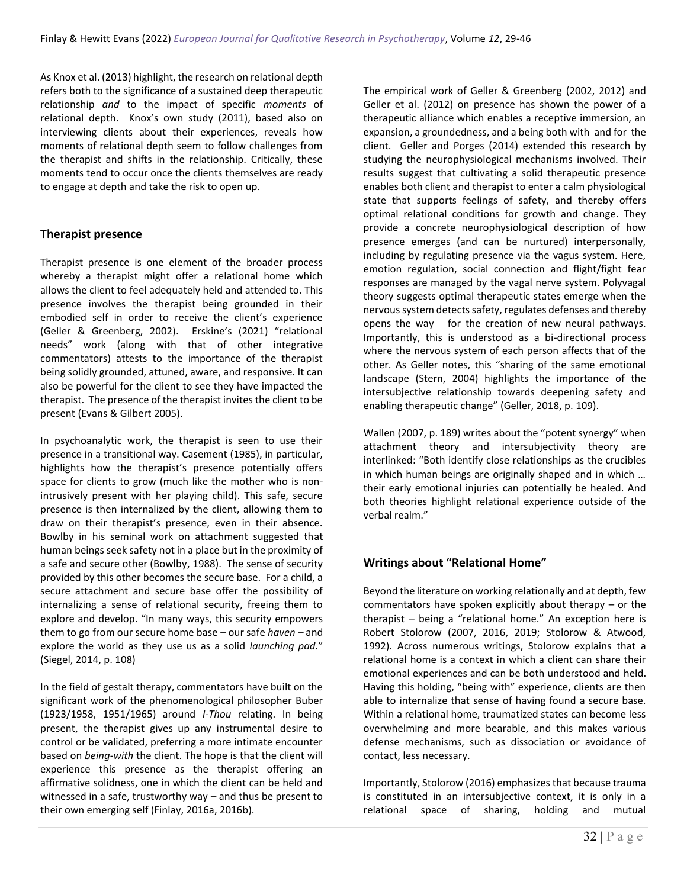As Knox et al. (2013) highlight, the research on relational depth refers both to the significance of a sustained deep therapeutic relationship *and* to the impact of specific *moments* of relational depth. Knox's own study (2011), based also on interviewing clients about their experiences, reveals how moments of relational depth seem to follow challenges from the therapist and shifts in the relationship. Critically, these moments tend to occur once the clients themselves are ready to engage at depth and take the risk to open up.

### **Therapist presence**

Therapist presence is one element of the broader process whereby a therapist might offer a relational home which allows the client to feel adequately held and attended to. This presence involves the therapist being grounded in their embodied self in order to receive the client's experience (Geller & Greenberg, 2002). Erskine's (2021) "relational needs" work (along with that of other integrative commentators) attests to the importance of the therapist being solidly grounded, attuned, aware, and responsive. It can also be powerful for the client to see they have impacted the therapist. The presence of the therapist invites the client to be present (Evans & Gilbert 2005).

In psychoanalytic work, the therapist is seen to use their presence in a transitional way. Casement (1985), in particular, highlights how the therapist's presence potentially offers space for clients to grow (much like the mother who is nonintrusively present with her playing child). This safe, secure presence is then internalized by the client, allowing them to draw on their therapist's presence, even in their absence. Bowlby in his seminal work on attachment suggested that human beings seek safety not in a place but in the proximity of a safe and secure other (Bowlby, 1988). The sense of security provided by this other becomes the secure base. For a child, a secure attachment and secure base offer the possibility of internalizing a sense of relational security, freeing them to explore and develop. "In many ways, this security empowers them to go from our secure home base *–* our safe *haven –* and explore the world as they use us as a solid *launching pad.*" (Siegel, 2014, p. 108)

In the field of gestalt therapy, commentators have built on the significant work of the phenomenological philosopher Buber (1923/1958, 1951/1965) around *I-Thou* relating. In being present, the therapist gives up any instrumental desire to control or be validated, preferring a more intimate encounter based on *being-with* the client. The hope is that the client will experience this presence as the therapist offering an affirmative solidness, one in which the client can be held and witnessed in a safe, trustworthy way *–* and thus be present to their own emerging self (Finlay, 2016a, 2016b).

The empirical work of Geller & Greenberg (2002, 2012) and Geller et al. (2012) on presence has shown the power of a therapeutic alliance which enables a receptive immersion, an expansion, a groundedness, and a being both with and for the client. Geller and Porges (2014) extended this research by studying the neurophysiological mechanisms involved. Their results suggest that cultivating a solid therapeutic presence enables both client and therapist to enter a calm physiological state that supports feelings of safety, and thereby offers optimal relational conditions for growth and change. They provide a concrete neurophysiological description of how presence emerges (and can be nurtured) interpersonally, including by regulating presence via the vagus system. Here, emotion regulation, social connection and flight/fight fear responses are managed by the vagal nerve system. Polyvagal theory suggests optimal therapeutic states emerge when the nervous system detects safety, regulates defenses and thereby opens the way for the creation of new neural pathways. Importantly, this is understood as a bi-directional process where the nervous system of each person affects that of the other. As Geller notes, this "sharing of the same emotional landscape (Stern, 2004) highlights the importance of the intersubjective relationship towards deepening safety and enabling therapeutic change" (Geller, 2018, p. 109).

Wallen (2007, p. 189) writes about the "potent synergy" when attachment theory and intersubjectivity theory are interlinked: "Both identify close relationships as the crucibles in which human beings are originally shaped and in which … their early emotional injuries can potentially be healed. And both theories highlight relational experience outside of the verbal realm."

### **Writings about "Relational Home"**

Beyond the literature on working relationally and at depth, few commentators have spoken explicitly about therapy – or the therapist – being a "relational home." An exception here is Robert Stolorow (2007, 2016, 2019; Stolorow & Atwood, 1992). Across numerous writings, Stolorow explains that a relational home is a context in which a client can share their emotional experiences and can be both understood and held. Having this holding, "being with" experience, clients are then able to internalize that sense of having found a secure base. Within a relational home, traumatized states can become less overwhelming and more bearable, and this makes various defense mechanisms, such as dissociation or avoidance of contact, less necessary.

Importantly, Stolorow (2016) emphasizes that because trauma is constituted in an intersubjective context, it is only in a relational space of sharing, holding and mutual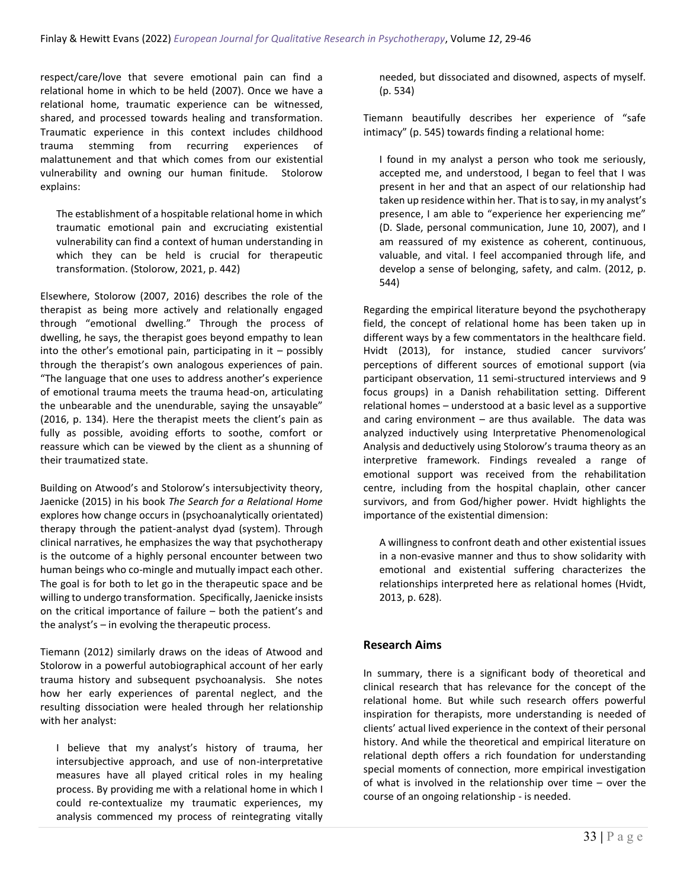respect/care/love that severe emotional pain can find a relational home in which to be held (2007). Once we have a relational home, traumatic experience can be witnessed, shared, and processed towards healing and transformation. Traumatic experience in this context includes childhood trauma stemming from recurring experiences of malattunement and that which comes from our existential vulnerability and owning our human finitude. Stolorow explains:

The establishment of a hospitable relational home in which traumatic emotional pain and excruciating existential vulnerability can find a context of human understanding in which they can be held is crucial for therapeutic transformation. (Stolorow, 2021, p. 442)

Elsewhere, Stolorow (2007, 2016) describes the role of the therapist as being more actively and relationally engaged through "emotional dwelling." Through the process of dwelling, he says, the therapist goes beyond empathy to lean into the other's emotional pain, participating in it  $-$  possibly through the therapist's own analogous experiences of pain. "The language that one uses to address another's experience of emotional trauma meets the trauma head-on, articulating the unbearable and the unendurable, saying the unsayable" (2016, p. 134). Here the therapist meets the client's pain as fully as possible, avoiding efforts to soothe, comfort or reassure which can be viewed by the client as a shunning of their traumatized state.

Building on Atwood's and Stolorow's intersubjectivity theory, Jaenicke (2015) in his book *The Search for a Relational Home*  explores how change occurs in (psychoanalytically orientated) therapy through the patient-analyst dyad (system). Through clinical narratives, he emphasizes the way that psychotherapy is the outcome of a highly personal encounter between two human beings who co-mingle and mutually impact each other. The goal is for both to let go in the therapeutic space and be willing to undergo transformation. Specifically, Jaenicke insists on the critical importance of failure – both the patient's and the analyst's – in evolving the therapeutic process.

Tiemann (2012) similarly draws on the ideas of Atwood and Stolorow in a powerful autobiographical account of her early trauma history and subsequent psychoanalysis. She notes how her early experiences of parental neglect, and the resulting dissociation were healed through her relationship with her analyst:

I believe that my analyst's history of trauma, her intersubjective approach, and use of non-interpretative measures have all played critical roles in my healing process. By providing me with a relational home in which I could re-contextualize my traumatic experiences, my analysis commenced my process of reintegrating vitally

needed, but dissociated and disowned, aspects of myself. (p. 534)

Tiemann beautifully describes her experience of "safe intimacy" (p. 545) towards finding a relational home:

I found in my analyst a person who took me seriously, accepted me, and understood, I began to feel that I was present in her and that an aspect of our relationship had taken up residence within her. That is to say, in my analyst's presence, I am able to "experience her experiencing me" (D. Slade, personal communication, June 10, 2007), and I am reassured of my existence as coherent, continuous, valuable, and vital. I feel accompanied through life, and develop a sense of belonging, safety, and calm. (2012, p. 544)

Regarding the empirical literature beyond the psychotherapy field, the concept of relational home has been taken up in different ways by a few commentators in the healthcare field. Hvidt (2013), for instance, studied cancer survivors' perceptions of different sources of emotional support (via participant observation, 11 semi-structured interviews and 9 focus groups) in a Danish rehabilitation setting. Different relational homes – understood at a basic level as a supportive and caring environment – are thus available. The data was analyzed inductively using Interpretative Phenomenological Analysis and deductively using Stolorow's trauma theory as an interpretive framework. Findings revealed a range of emotional support was received from the rehabilitation centre, including from the hospital chaplain, other cancer survivors, and from God/higher power. Hvidt highlights the importance of the existential dimension:

A willingness to confront death and other existential issues in a non-evasive manner and thus to show solidarity with emotional and existential suffering characterizes the relationships interpreted here as relational homes (Hvidt, 2013, p. 628).

### **Research Aims**

In summary, there is a significant body of theoretical and clinical research that has relevance for the concept of the relational home. But while such research offers powerful inspiration for therapists, more understanding is needed of clients' actual lived experience in the context of their personal history. And while the theoretical and empirical literature on relational depth offers a rich foundation for understanding special moments of connection, more empirical investigation of what is involved in the relationship over time – over the course of an ongoing relationship - is needed.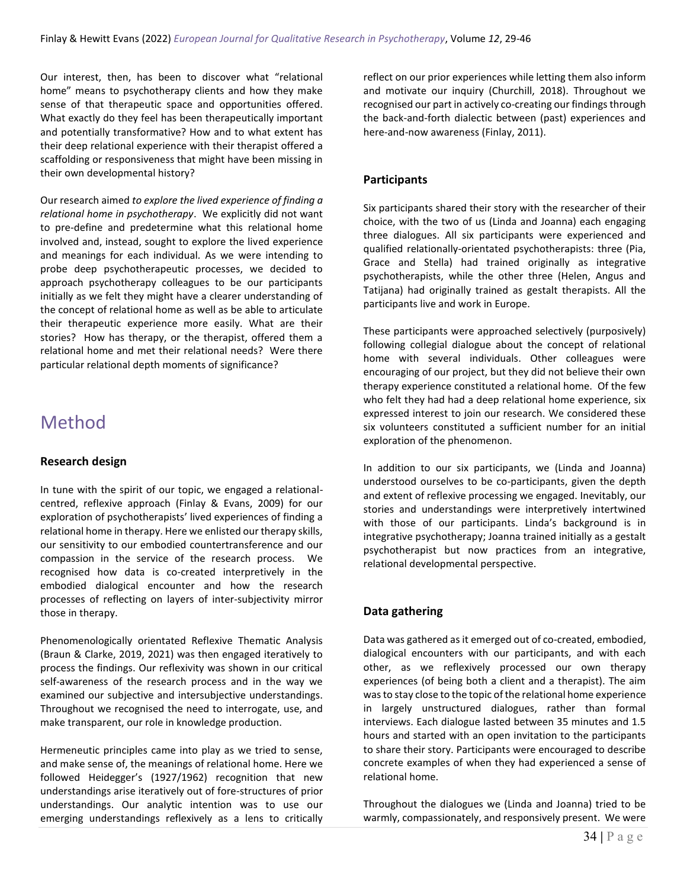Our interest, then, has been to discover what "relational home" means to psychotherapy clients and how they make sense of that therapeutic space and opportunities offered. What exactly do they feel has been therapeutically important and potentially transformative? How and to what extent has their deep relational experience with their therapist offered a scaffolding or responsiveness that might have been missing in their own developmental history?

Our research aimed *to explore the lived experience of finding a relational home in psychotherapy*. We explicitly did not want to pre-define and predetermine what this relational home involved and, instead, sought to explore the lived experience and meanings for each individual*.* As we were intending to probe deep psychotherapeutic processes, we decided to approach psychotherapy colleagues to be our participants initially as we felt they might have a clearer understanding of the concept of relational home as well as be able to articulate their therapeutic experience more easily. What are their stories? How has therapy, or the therapist, offered them a relational home and met their relational needs? Were there particular relational depth moments of significance?

### Method

### **Research design**

In tune with the spirit of our topic, we engaged a relationalcentred, reflexive approach (Finlay & Evans, 2009) for our exploration of psychotherapists' lived experiences of finding a relational home in therapy. Here we enlisted our therapy skills, our sensitivity to our embodied countertransference and our compassion in the service of the research process. We recognised how data is co-created interpretively in the embodied dialogical encounter and how the research processes of reflecting on layers of inter-subjectivity mirror those in therapy.

Phenomenologically orientated Reflexive Thematic Analysis (Braun & Clarke, 2019, 2021) was then engaged iteratively to process the findings. Our reflexivity was shown in our critical self-awareness of the research process and in the way we examined our subjective and intersubjective understandings. Throughout we recognised the need to interrogate, use, and make transparent, our role in knowledge production.

Hermeneutic principles came into play as we tried to sense, and make sense of, the meanings of relational home. Here we followed Heidegger's (1927/1962) recognition that new understandings arise iteratively out of fore-structures of prior understandings. Our analytic intention was to use our emerging understandings reflexively as a lens to critically reflect on our prior experiences while letting them also inform and motivate our inquiry (Churchill, 2018). Throughout we recognised our part in actively co-creating our findings through the back-and-forth dialectic between (past) experiences and here-and-now awareness (Finlay, 2011).

#### **Participants**

Six participants shared their story with the researcher of their choice, with the two of us (Linda and Joanna) each engaging three dialogues. All six participants were experienced and qualified relationally-orientated psychotherapists: three (Pia, Grace and Stella) had trained originally as integrative psychotherapists, while the other three (Helen, Angus and Tatijana) had originally trained as gestalt therapists. All the participants live and work in Europe.

These participants were approached selectively (purposively) following collegial dialogue about the concept of relational home with several individuals. Other colleagues were encouraging of our project, but they did not believe their own therapy experience constituted a relational home. Of the few who felt they had had a deep relational home experience, six expressed interest to join our research. We considered these six volunteers constituted a sufficient number for an initial exploration of the phenomenon.

In addition to our six participants, we (Linda and Joanna) understood ourselves to be co-participants, given the depth and extent of reflexive processing we engaged. Inevitably, our stories and understandings were interpretively intertwined with those of our participants. Linda's background is in integrative psychotherapy; Joanna trained initially as a gestalt psychotherapist but now practices from an integrative, relational developmental perspective.

### **Data gathering**

Data was gathered as it emerged out of co-created, embodied, dialogical encounters with our participants, and with each other, as we reflexively processed our own therapy experiences (of being both a client and a therapist). The aim was to stay close to the topic of the relational home experience in largely unstructured dialogues, rather than formal interviews. Each dialogue lasted between 35 minutes and 1.5 hours and started with an open invitation to the participants to share their story. Participants were encouraged to describe concrete examples of when they had experienced a sense of relational home.

Throughout the dialogues we (Linda and Joanna) tried to be warmly, compassionately, and responsively present. We were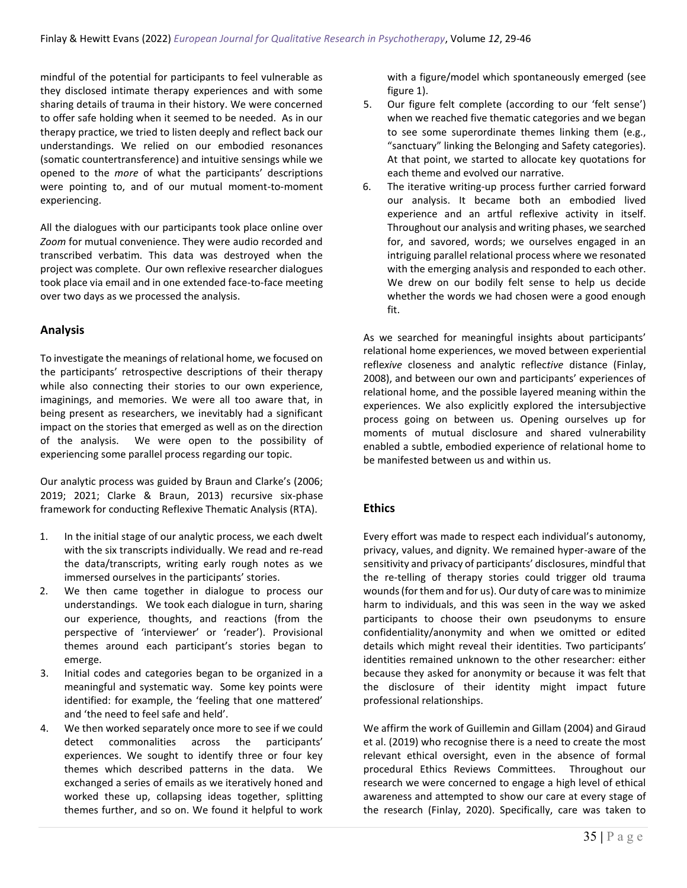mindful of the potential for participants to feel vulnerable as they disclosed intimate therapy experiences and with some sharing details of trauma in their history. We were concerned to offer safe holding when it seemed to be needed. As in our therapy practice, we tried to listen deeply and reflect back our understandings. We relied on our embodied resonances (somatic countertransference) and intuitive sensings while we opened to the *more* of what the participants' descriptions were pointing to, and of our mutual moment-to-moment experiencing.

All the dialogues with our participants took place online over *Zoom* for mutual convenience. They were audio recorded and transcribed verbatim. This data was destroyed when the project was complete. Our own reflexive researcher dialogues took place via email and in one extended face-to-face meeting over two days as we processed the analysis.

#### **Analysis**

To investigate the meanings of relational home, we focused on the participants' retrospective descriptions of their therapy while also connecting their stories to our own experience, imaginings, and memories. We were all too aware that, in being present as researchers, we inevitably had a significant impact on the stories that emerged as well as on the direction of the analysis. We were open to the possibility of experiencing some parallel process regarding our topic.

Our analytic process was guided by Braun and Clarke's (2006; 2019; 2021; Clarke & Braun, 2013) recursive six-phase framework for conducting Reflexive Thematic Analysis (RTA).

- 1. In the initial stage of our analytic process, we each dwelt with the six transcripts individually. We read and re-read the data/transcripts, writing early rough notes as we immersed ourselves in the participants' stories.
- 2. We then came together in dialogue to process our understandings. We took each dialogue in turn, sharing our experience, thoughts, and reactions (from the perspective of 'interviewer' or 'reader'). Provisional themes around each participant's stories began to emerge.
- 3. Initial codes and categories began to be organized in a meaningful and systematic way. Some key points were identified: for example, the 'feeling that one mattered' and 'the need to feel safe and held'.
- 4. We then worked separately once more to see if we could detect commonalities across the participants' experiences. We sought to identify three or four key themes which described patterns in the data. We exchanged a series of emails as we iteratively honed and worked these up, collapsing ideas together, splitting themes further, and so on. We found it helpful to work

with a figure/model which spontaneously emerged (see figure 1).

- 5. Our figure felt complete (according to our 'felt sense') when we reached five thematic categories and we began to see some superordinate themes linking them (e.g., "sanctuary" linking the Belonging and Safety categories). At that point, we started to allocate key quotations for each theme and evolved our narrative.
- 6. The iterative writing-up process further carried forward our analysis. It became both an embodied lived experience and an artful reflexive activity in itself. Throughout our analysis and writing phases, we searched for, and savored, words; we ourselves engaged in an intriguing parallel relational process where we resonated with the emerging analysis and responded to each other. We drew on our bodily felt sense to help us decide whether the words we had chosen were a good enough fit.

As we searched for meaningful insights about participants' relational home experiences, we moved between experiential refle*xive* closeness and analytic reflec*tive* distance (Finlay, 2008), and between our own and participants' experiences of relational home, and the possible layered meaning within the experiences. We also explicitly explored the intersubjective process going on between us. Opening ourselves up for moments of mutual disclosure and shared vulnerability enabled a subtle, embodied experience of relational home to be manifested between us and within us.

#### **Ethics**

Every effort was made to respect each individual's autonomy, privacy, values, and dignity. We remained hyper-aware of the sensitivity and privacy of participants' disclosures, mindful that the re-telling of therapy stories could trigger old trauma wounds (for them and for us). Our duty of care was to minimize harm to individuals, and this was seen in the way we asked participants to choose their own pseudonyms to ensure confidentiality/anonymity and when we omitted or edited details which might reveal their identities. Two participants' identities remained unknown to the other researcher: either because they asked for anonymity or because it was felt that the disclosure of their identity might impact future professional relationships.

We affirm the work of Guillemin and Gillam (2004) and Giraud et al. (2019) who recognise there is a need to create the most relevant ethical oversight, even in the absence of formal procedural Ethics Reviews Committees. Throughout our research we were concerned to engage a high level of ethical awareness and attempted to show our care at every stage of the research (Finlay, 2020). Specifically, care was taken to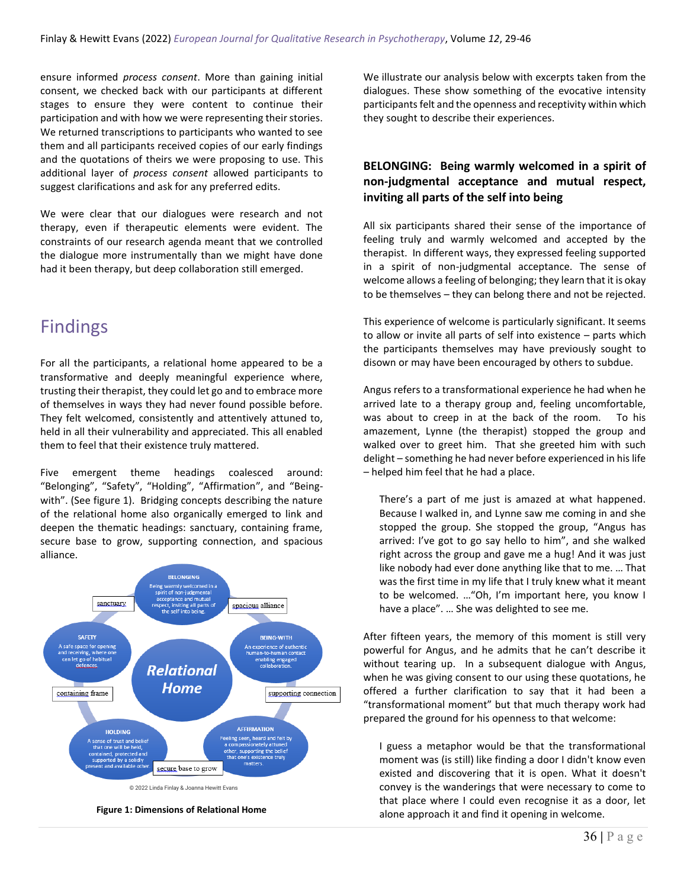ensure informed *process consent*. More than gaining initial consent, we checked back with our participants at different stages to ensure they were content to continue their participation and with how we were representing their stories. We returned transcriptions to participants who wanted to see them and all participants received copies of our early findings and the quotations of theirs we were proposing to use. This additional layer of *process consent* allowed participants to suggest clarifications and ask for any preferred edits.

We were clear that our dialogues were research and not therapy, even if therapeutic elements were evident. The constraints of our research agenda meant that we controlled the dialogue more instrumentally than we might have done had it been therapy, but deep collaboration still emerged.

### Findings

For all the participants, a relational home appeared to be a transformative and deeply meaningful experience where, trusting their therapist, they could let go and to embrace more of themselves in ways they had never found possible before. They felt welcomed, consistently and attentively attuned to, held in all their vulnerability and appreciated. This all enabled them to feel that their existence truly mattered.

Five emergent theme headings coalesced around: "Belonging", "Safety", "Holding", "Affirmation", and "Beingwith". (See figure 1). Bridging concepts describing the nature of the relational home also organically emerged to link and deepen the thematic headings: sanctuary, containing frame, secure base to grow, supporting connection, and spacious alliance.



**Figure 1: Dimensions of Relational Home**

We illustrate our analysis below with excerpts taken from the dialogues. These show something of the evocative intensity participants felt and the openness and receptivity within which they sought to describe their experiences.

### **BELONGING: Being warmly welcomed in a spirit of non-judgmental acceptance and mutual respect, inviting all parts of the self into being**

All six participants shared their sense of the importance of feeling truly and warmly welcomed and accepted by the therapist. In different ways, they expressed feeling supported in a spirit of non-judgmental acceptance. The sense of welcome allows a feeling of belonging; they learn that it is okay to be themselves – they can belong there and not be rejected.

This experience of welcome is particularly significant. It seems to allow or invite all parts of self into existence – parts which the participants themselves may have previously sought to disown or may have been encouraged by others to subdue.

Angus refers to a transformational experience he had when he arrived late to a therapy group and, feeling uncomfortable, was about to creep in at the back of the room. To his amazement, Lynne (the therapist) stopped the group and walked over to greet him. That she greeted him with such delight – something he had never before experienced in his life *–* helped him feel that he had a place.

There's a part of me just is amazed at what happened. Because I walked in, and Lynne saw me coming in and she stopped the group. She stopped the group, "Angus has arrived: I've got to go say hello to him", and she walked right across the group and gave me a hug! And it was just like nobody had ever done anything like that to me. … That was the first time in my life that I truly knew what it meant to be welcomed. …"Oh, I'm important here, you know I have a place". … She was delighted to see me.

After fifteen years, the memory of this moment is still very powerful for Angus, and he admits that he can't describe it without tearing up. In a subsequent dialogue with Angus, when he was giving consent to our using these quotations, he offered a further clarification to say that it had been a "transformational moment" but that much therapy work had prepared the ground for his openness to that welcome:

I guess a metaphor would be that the transformational moment was (is still) like finding a door I didn't know even existed and discovering that it is open. What it doesn't convey is the wanderings that were necessary to come to that place where I could even recognise it as a door, let alone approach it and find it opening in welcome.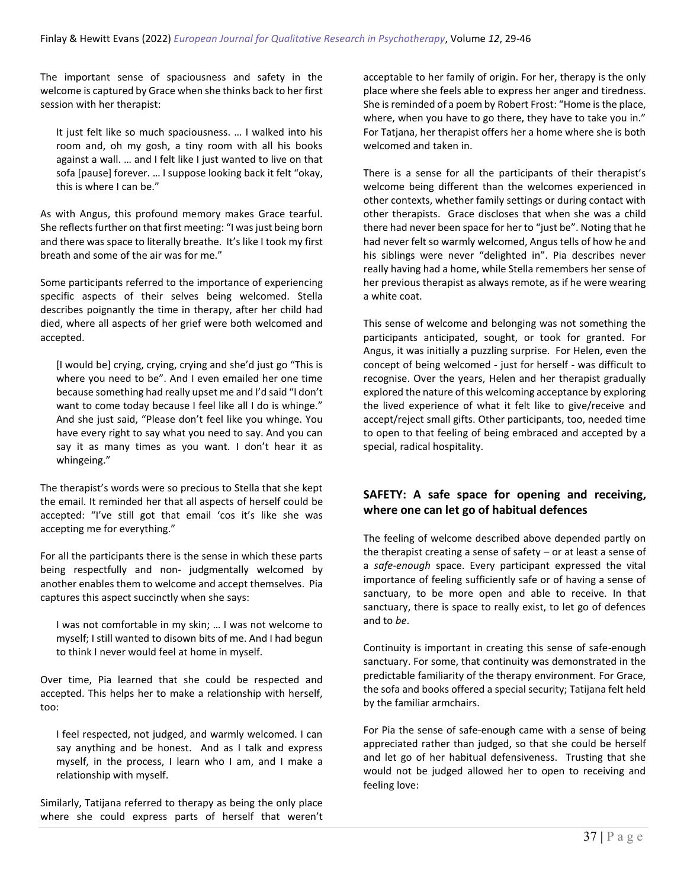The important sense of spaciousness and safety in the welcome is captured by Grace when she thinks back to her first session with her therapist:

It just felt like so much spaciousness. … I walked into his room and, oh my gosh, a tiny room with all his books against a wall. … and I felt like I just wanted to live on that sofa [pause] forever. … I suppose looking back it felt "okay, this is where I can be."

As with Angus, this profound memory makes Grace tearful. She reflects further on that first meeting: "I was just being born and there was space to literally breathe. It's like I took my first breath and some of the air was for me."

Some participants referred to the importance of experiencing specific aspects of their selves being welcomed. Stella describes poignantly the time in therapy, after her child had died, where all aspects of her grief were both welcomed and accepted.

[I would be] crying, crying, crying and she'd just go "This is where you need to be". And I even emailed her one time because something had really upset me and I'd said "I don't want to come today because I feel like all I do is whinge." And she just said, "Please don't feel like you whinge. You have every right to say what you need to say. And you can say it as many times as you want. I don't hear it as whingeing."

The therapist's words were so precious to Stella that she kept the email. It reminded her that all aspects of herself could be accepted: "I've still got that email 'cos it's like she was accepting me for everything."

For all the participants there is the sense in which these parts being respectfully and non- judgmentally welcomed by another enables them to welcome and accept themselves. Pia captures this aspect succinctly when she says:

I was not comfortable in my skin; … I was not welcome to myself; I still wanted to disown bits of me. And I had begun to think I never would feel at home in myself.

Over time, Pia learned that she could be respected and accepted. This helps her to make a relationship with herself, too:

I feel respected, not judged, and warmly welcomed. I can say anything and be honest. And as I talk and express myself, in the process, I learn who I am, and I make a relationship with myself.

Similarly, Tatijana referred to therapy as being the only place where she could express parts of herself that weren't acceptable to her family of origin. For her, therapy is the only place where she feels able to express her anger and tiredness. She is reminded of a poem by Robert Frost: "Home is the place, where, when you have to go there, they have to take you in." For Tatjana, her therapist offers her a home where she is both welcomed and taken in.

There is a sense for all the participants of their therapist's welcome being different than the welcomes experienced in other contexts, whether family settings or during contact with other therapists. Grace discloses that when she was a child there had never been space for her to "just be". Noting that he had never felt so warmly welcomed, Angus tells of how he and his siblings were never "delighted in". Pia describes never really having had a home, while Stella remembers her sense of her previous therapist as always remote, as if he were wearing a white coat.

This sense of welcome and belonging was not something the participants anticipated, sought, or took for granted. For Angus, it was initially a puzzling surprise. For Helen, even the concept of being welcomed - just for herself - was difficult to recognise. Over the years, Helen and her therapist gradually explored the nature of this welcoming acceptance by exploring the lived experience of what it felt like to give/receive and accept/reject small gifts. Other participants, too, needed time to open to that feeling of being embraced and accepted by a special, radical hospitality.

### **SAFETY: A safe space for opening and receiving, where one can let go of habitual defences**

The feeling of welcome described above depended partly on the therapist creating a sense of safety – or at least a sense of a *safe-enough* space. Every participant expressed the vital importance of feeling sufficiently safe or of having a sense of sanctuary, to be more open and able to receive. In that sanctuary, there is space to really exist, to let go of defences and to *be*.

Continuity is important in creating this sense of safe-enough sanctuary. For some, that continuity was demonstrated in the predictable familiarity of the therapy environment. For Grace, the sofa and books offered a special security; Tatijana felt held by the familiar armchairs.

For Pia the sense of safe-enough came with a sense of being appreciated rather than judged, so that she could be herself and let go of her habitual defensiveness. Trusting that she would not be judged allowed her to open to receiving and feeling love: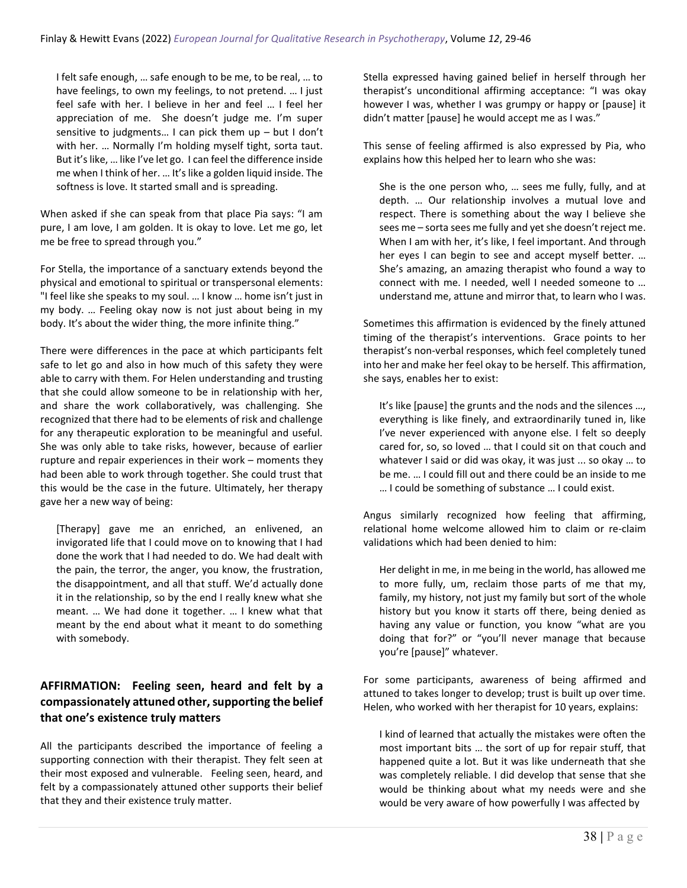I felt safe enough, … safe enough to be me, to be real, … to have feelings, to own my feelings, to not pretend. … I just feel safe with her. I believe in her and feel … I feel her appreciation of me. She doesn't judge me. I'm super sensitive to judgments… I can pick them up – but I don't with her. … Normally I'm holding myself tight, sorta taut. But it's like, … like I've let go. I can feel the difference inside me when I think of her. … It's like a golden liquid inside. The softness is love. It started small and is spreading.

When asked if she can speak from that place Pia says: "I am pure, I am love, I am golden. It is okay to love. Let me go, let me be free to spread through you."

For Stella, the importance of a sanctuary extends beyond the physical and emotional to spiritual or transpersonal elements: "I feel like she speaks to my soul. … I know … home isn't just in my body. … Feeling okay now is not just about being in my body. It's about the wider thing, the more infinite thing."

There were differences in the pace at which participants felt safe to let go and also in how much of this safety they were able to carry with them. For Helen understanding and trusting that she could allow someone to be in relationship with her, and share the work collaboratively, was challenging. She recognized that there had to be elements of risk and challenge for any therapeutic exploration to be meaningful and useful. She was only able to take risks, however, because of earlier rupture and repair experiences in their work – moments they had been able to work through together. She could trust that this would be the case in the future. Ultimately, her therapy gave her a new way of being:

[Therapy] gave me an enriched, an enlivened, an invigorated life that I could move on to knowing that I had done the work that I had needed to do. We had dealt with the pain, the terror, the anger, you know, the frustration, the disappointment, and all that stuff. We'd actually done it in the relationship, so by the end I really knew what she meant. … We had done it together. … I knew what that meant by the end about what it meant to do something with somebody.

### **AFFIRMATION: Feeling seen, heard and felt by a compassionately attuned other, supporting the belief that one's existence truly matters**

All the participants described the importance of feeling a supporting connection with their therapist. They felt seen at their most exposed and vulnerable. Feeling seen, heard, and felt by a compassionately attuned other supports their belief that they and their existence truly matter.

Stella expressed having gained belief in herself through her therapist's unconditional affirming acceptance: "I was okay however I was, whether I was grumpy or happy or [pause] it didn't matter [pause] he would accept me as I was."

This sense of feeling affirmed is also expressed by Pia, who explains how this helped her to learn who she was:

She is the one person who, … sees me fully, fully, and at depth. … Our relationship involves a mutual love and respect. There is something about the way I believe she sees me – sorta sees me fully and yet she doesn't reject me. When I am with her, it's like, I feel important. And through her eyes I can begin to see and accept myself better. … She's amazing, an amazing therapist who found a way to connect with me. I needed, well I needed someone to … understand me, attune and mirror that, to learn who I was.

Sometimes this affirmation is evidenced by the finely attuned timing of the therapist's interventions. Grace points to her therapist's non-verbal responses, which feel completely tuned into her and make her feel okay to be herself. This affirmation, she says, enables her to exist:

It's like [pause] the grunts and the nods and the silences …, everything is like finely, and extraordinarily tuned in, like I've never experienced with anyone else. I felt so deeply cared for, so, so loved … that I could sit on that couch and whatever I said or did was okay, it was just ... so okay … to be me. … I could fill out and there could be an inside to me … I could be something of substance … I could exist.

Angus similarly recognized how feeling that affirming, relational home welcome allowed him to claim or re-claim validations which had been denied to him:

Her delight in me, in me being in the world, has allowed me to more fully, um, reclaim those parts of me that my, family, my history, not just my family but sort of the whole history but you know it starts off there, being denied as having any value or function, you know "what are you doing that for?" or "you'll never manage that because you're [pause]" whatever.

For some participants, awareness of being affirmed and attuned to takes longer to develop; trust is built up over time. Helen, who worked with her therapist for 10 years, explains:

I kind of learned that actually the mistakes were often the most important bits … the sort of up for repair stuff, that happened quite a lot. But it was like underneath that she was completely reliable. I did develop that sense that she would be thinking about what my needs were and she would be very aware of how powerfully I was affected by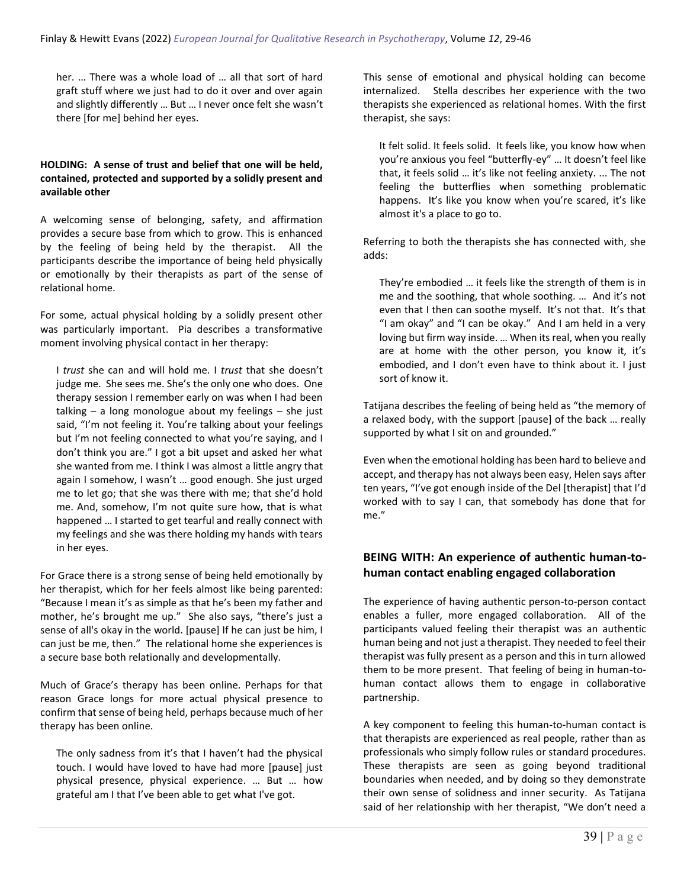her. … There was a whole load of … all that sort of hard graft stuff where we just had to do it over and over again and slightly differently … But … I never once felt she wasn't there [for me] behind her eyes.

#### **HOLDING: A sense of trust and belief that one will be held, contained, protected and supported by a solidly present and available other**

A welcoming sense of belonging, safety, and affirmation provides a secure base from which to grow. This is enhanced by the feeling of being held by the therapist. All the participants describe the importance of being held physically or emotionally by their therapists as part of the sense of relational home.

For some, actual physical holding by a solidly present other was particularly important. Pia describes a transformative moment involving physical contact in her therapy:

I *trust* she can and will hold me. I *trust* that she doesn't judge me. She sees me. She's the only one who does. One therapy session I remember early on was when I had been talking – a long monologue about my feelings – she just said, "I'm not feeling it. You're talking about your feelings but I'm not feeling connected to what you're saying, and I don't think you are." I got a bit upset and asked her what she wanted from me. I think I was almost a little angry that again I somehow, I wasn't … good enough. She just urged me to let go; that she was there with me; that she'd hold me. And, somehow, I'm not quite sure how, that is what happened … I started to get tearful and really connect with my feelings and she was there holding my hands with tears in her eyes.

For Grace there is a strong sense of being held emotionally by her therapist, which for her feels almost like being parented: "Because I mean it's as simple as that he's been my father and mother, he's brought me up." She also says, "there's just a sense of all's okay in the world. [pause] If he can just be him, I can just be me, then." The relational home she experiences is a secure base both relationally and developmentally.

Much of Grace's therapy has been online. Perhaps for that reason Grace longs for more actual physical presence to confirm that sense of being held, perhaps because much of her therapy has been online.

The only sadness from it's that I haven't had the physical touch. I would have loved to have had more [pause] just physical presence, physical experience. … But … how grateful am I that I've been able to get what I've got.

This sense of emotional and physical holding can become internalized. Stella describes her experience with the two therapists she experienced as relational homes. With the first therapist, she says:

It felt solid. It feels solid. It feels like, you know how when you're anxious you feel "butterfly-ey" … It doesn't feel like that, it feels solid … it's like not feeling anxiety. ... The not feeling the butterflies when something problematic happens. It's like you know when you're scared, it's like almost it's a place to go to.

Referring to both the therapists she has connected with, she adds:

They're embodied … it feels like the strength of them is in me and the soothing, that whole soothing. … And it's not even that I then can soothe myself. It's not that. It's that "I am okay" and "I can be okay." And I am held in a very loving but firm way inside. … When its real, when you really are at home with the other person, you know it, it's embodied, and I don't even have to think about it. I just sort of know it.

Tatijana describes the feeling of being held as "the memory of a relaxed body, with the support [pause] of the back … really supported by what I sit on and grounded."

Even when the emotional holding has been hard to believe and accept, and therapy has not always been easy, Helen says after ten years, "I've got enough inside of the Del [therapist] that I'd worked with to say I can, that somebody has done that for me."

### **BEING WITH: An experience of authentic human-tohuman contact enabling engaged collaboration**

The experience of having authentic person-to-person contact enables a fuller, more engaged collaboration. All of the participants valued feeling their therapist was an authentic human being and not just a therapist. They needed to feel their therapist was fully present as a person and this in turn allowed them to be more present. That feeling of being in human-tohuman contact allows them to engage in collaborative partnership.

A key component to feeling this human-to-human contact is that therapists are experienced as real people, rather than as professionals who simply follow rules or standard procedures. These therapists are seen as going beyond traditional boundaries when needed, and by doing so they demonstrate their own sense of solidness and inner security. As Tatijana said of her relationship with her therapist, "We don't need a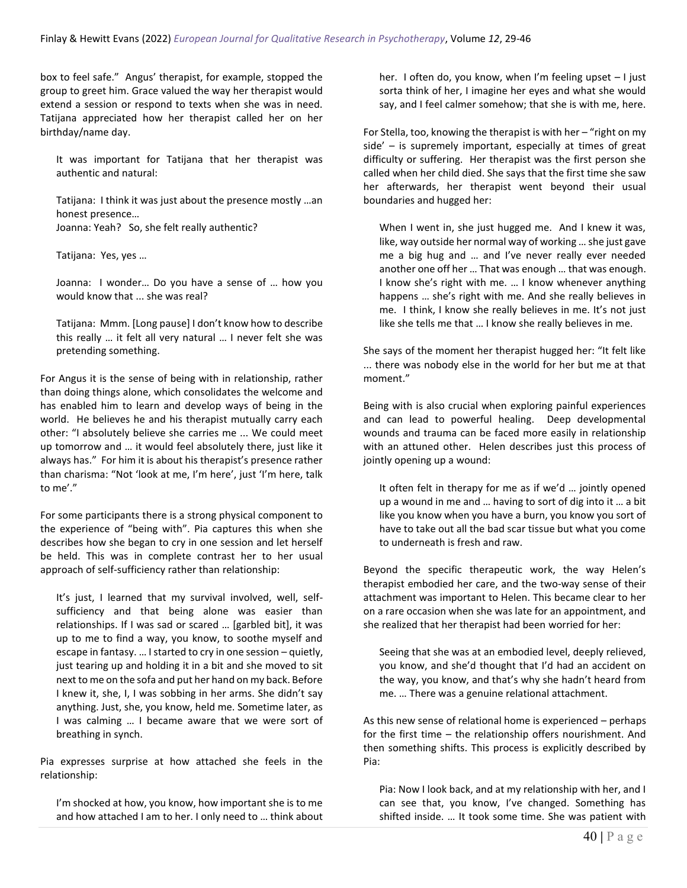box to feel safe." Angus' therapist, for example, stopped the group to greet him. Grace valued the way her therapist would extend a session or respond to texts when she was in need. Tatijana appreciated how her therapist called her on her birthday/name day.

It was important for Tatijana that her therapist was authentic and natural:

Tatijana: I think it was just about the presence mostly …an honest presence…

Joanna: Yeah? So, she felt really authentic?

Tatijana: Yes, yes …

Joanna: I wonder… Do you have a sense of … how you would know that ... she was real?

Tatijana: Mmm. [Long pause] I don't know how to describe this really … it felt all very natural … I never felt she was pretending something.

For Angus it is the sense of being with in relationship, rather than doing things alone, which consolidates the welcome and has enabled him to learn and develop ways of being in the world. He believes he and his therapist mutually carry each other: "I absolutely believe she carries me ... We could meet up tomorrow and … it would feel absolutely there, just like it always has." For him it is about his therapist's presence rather than charisma: "Not 'look at me, I'm here', just 'I'm here, talk to me'."

For some participants there is a strong physical component to the experience of "being with". Pia captures this when she describes how she began to cry in one session and let herself be held. This was in complete contrast her to her usual approach of self-sufficiency rather than relationship:

It's just, I learned that my survival involved, well, selfsufficiency and that being alone was easier than relationships. If I was sad or scared … [garbled bit], it was up to me to find a way, you know, to soothe myself and escape in fantasy. … I started to cry in one session – quietly, just tearing up and holding it in a bit and she moved to sit next to me on the sofa and put her hand on my back. Before I knew it, she, I, I was sobbing in her arms. She didn't say anything. Just, she, you know, held me. Sometime later, as I was calming … I became aware that we were sort of breathing in synch.

Pia expresses surprise at how attached she feels in the relationship:

I'm shocked at how, you know, how important she is to me and how attached I am to her. I only need to … think about her. I often do, you know, when I'm feeling upset – I just sorta think of her, I imagine her eyes and what she would say, and I feel calmer somehow; that she is with me, here.

For Stella, too, knowing the therapist is with her – "right on my side' – is supremely important, especially at times of great difficulty or suffering. Her therapist was the first person she called when her child died. She says that the first time she saw her afterwards, her therapist went beyond their usual boundaries and hugged her:

When I went in, she just hugged me. And I knew it was, like, way outside her normal way of working … she just gave me a big hug and … and I've never really ever needed another one off her … That was enough … that was enough. I know she's right with me. … I know whenever anything happens … she's right with me. And she really believes in me. I think, I know she really believes in me. It's not just like she tells me that … I know she really believes in me.

She says of the moment her therapist hugged her: "It felt like ... there was nobody else in the world for her but me at that moment."

Being with is also crucial when exploring painful experiences and can lead to powerful healing. Deep developmental wounds and trauma can be faced more easily in relationship with an attuned other. Helen describes just this process of jointly opening up a wound:

It often felt in therapy for me as if we'd … jointly opened up a wound in me and … having to sort of dig into it … a bit like you know when you have a burn, you know you sort of have to take out all the bad scar tissue but what you come to underneath is fresh and raw.

Beyond the specific therapeutic work, the way Helen's therapist embodied her care, and the two-way sense of their attachment was important to Helen. This became clear to her on a rare occasion when she was late for an appointment, and she realized that her therapist had been worried for her:

Seeing that she was at an embodied level, deeply relieved, you know, and she'd thought that I'd had an accident on the way, you know, and that's why she hadn't heard from me. … There was a genuine relational attachment.

As this new sense of relational home is experienced – perhaps for the first time – the relationship offers nourishment. And then something shifts. This process is explicitly described by Pia:

Pia: Now I look back, and at my relationship with her, and I can see that, you know, I've changed. Something has shifted inside. … It took some time. She was patient with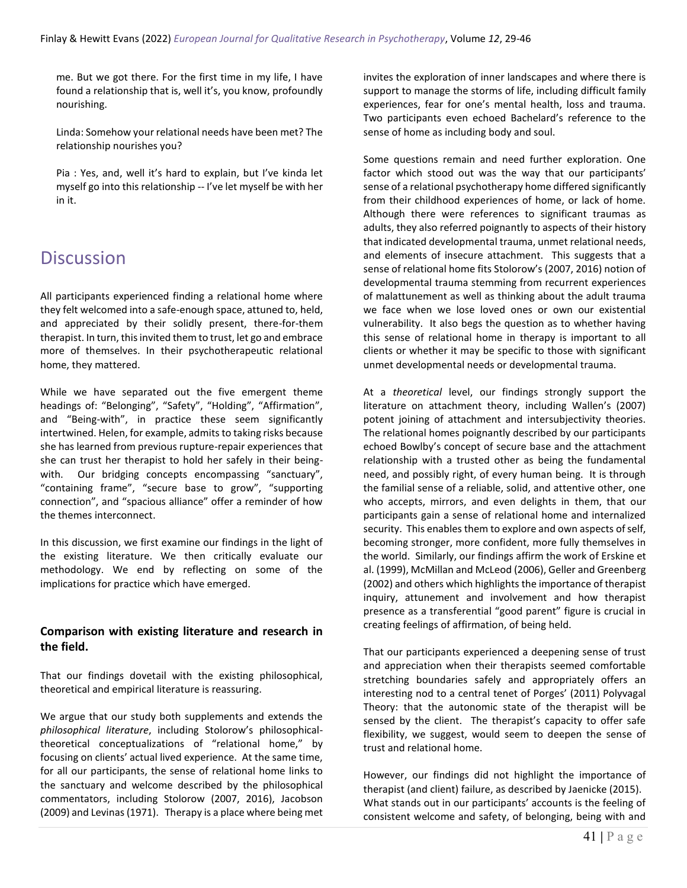me. But we got there. For the first time in my life, I have found a relationship that is, well it's, you know, profoundly nourishing.

Linda: Somehow your relational needs have been met? The relationship nourishes you?

Pia : Yes, and, well it's hard to explain, but I've kinda let myself go into this relationship -- I've let myself be with her in it.

## **Discussion**

All participants experienced finding a relational home where they felt welcomed into a safe-enough space, attuned to, held, and appreciated by their solidly present, there-for-them therapist. In turn, this invited them to trust, let go and embrace more of themselves. In their psychotherapeutic relational home, they mattered.

While we have separated out the five emergent theme headings of: "Belonging", "Safety", "Holding", "Affirmation", and "Being-with", in practice these seem significantly intertwined. Helen, for example, admits to taking risks because she has learned from previous rupture-repair experiences that she can trust her therapist to hold her safely in their beingwith. Our bridging concepts encompassing "sanctuary", "containing frame", "secure base to grow", "supporting connection", and "spacious alliance" offer a reminder of how the themes interconnect.

In this discussion, we first examine our findings in the light of the existing literature. We then critically evaluate our methodology. We end by reflecting on some of the implications for practice which have emerged.

### **Comparison with existing literature and research in the field.**

That our findings dovetail with the existing philosophical, theoretical and empirical literature is reassuring.

We argue that our study both supplements and extends the *philosophical literature*, including Stolorow's philosophicaltheoretical conceptualizations of "relational home," by focusing on clients' actual lived experience. At the same time, for all our participants, the sense of relational home links to the sanctuary and welcome described by the philosophical commentators, including Stolorow (2007, 2016), Jacobson (2009) and Levinas (1971). Therapy is a place where being met invites the exploration of inner landscapes and where there is support to manage the storms of life, including difficult family experiences, fear for one's mental health, loss and trauma. Two participants even echoed Bachelard's reference to the sense of home as including body and soul.

Some questions remain and need further exploration. One factor which stood out was the way that our participants' sense of a relational psychotherapy home differed significantly from their childhood experiences of home, or lack of home. Although there were references to significant traumas as adults, they also referred poignantly to aspects of their history that indicated developmental trauma, unmet relational needs, and elements of insecure attachment. This suggests that a sense of relational home fits Stolorow's (2007, 2016) notion of developmental trauma stemming from recurrent experiences of malattunement as well as thinking about the adult trauma we face when we lose loved ones or own our existential vulnerability. It also begs the question as to whether having this sense of relational home in therapy is important to all clients or whether it may be specific to those with significant unmet developmental needs or developmental trauma.

At a *theoretical* level, our findings strongly support the literature on attachment theory, including Wallen's (2007) potent joining of attachment and intersubjectivity theories. The relational homes poignantly described by our participants echoed Bowlby's concept of secure base and the attachment relationship with a trusted other as being the fundamental need, and possibly right, of every human being. It is through the familial sense of a reliable, solid, and attentive other, one who accepts, mirrors, and even delights in them, that our participants gain a sense of relational home and internalized security. This enables them to explore and own aspects of self, becoming stronger, more confident, more fully themselves in the world. Similarly, our findings affirm the work of Erskine et al. (1999), McMillan and McLeod (2006), Geller and Greenberg (2002) and others which highlights the importance of therapist inquiry, attunement and involvement and how therapist presence as a transferential "good parent" figure is crucial in creating feelings of affirmation, of being held.

That our participants experienced a deepening sense of trust and appreciation when their therapists seemed comfortable stretching boundaries safely and appropriately offers an interesting nod to a central tenet of Porges' (2011) Polyvagal Theory: that the autonomic state of the therapist will be sensed by the client. The therapist's capacity to offer safe flexibility, we suggest, would seem to deepen the sense of trust and relational home.

However, our findings did not highlight the importance of therapist (and client) failure, as described by Jaenicke (2015). What stands out in our participants' accounts is the feeling of consistent welcome and safety, of belonging, being with and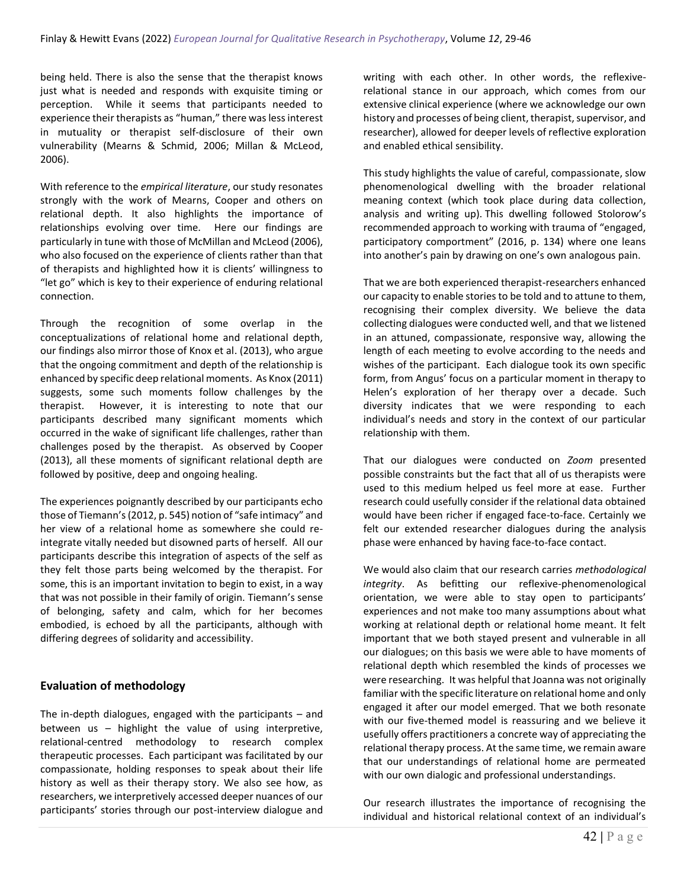being held. There is also the sense that the therapist knows just what is needed and responds with exquisite timing or perception. While it seems that participants needed to experience their therapists as "human," there was less interest in mutuality or therapist self-disclosure of their own vulnerability (Mearns & Schmid, 2006; Millan & McLeod, 2006).

With reference to the *empirical literature*, our study resonates strongly with the work of Mearns, Cooper and others on relational depth. It also highlights the importance of relationships evolving over time. Here our findings are particularly in tune with those of McMillan and McLeod (2006), who also focused on the experience of clients rather than that of therapists and highlighted how it is clients' willingness to "let go" which is key to their experience of enduring relational connection.

Through the recognition of some overlap in the conceptualizations of relational home and relational depth, our findings also mirror those of Knox et al. (2013), who argue that the ongoing commitment and depth of the relationship is enhanced by specific deep relational moments. As Knox (2011) suggests, some such moments follow challenges by the therapist. However, it is interesting to note that our participants described many significant moments which occurred in the wake of significant life challenges, rather than challenges posed by the therapist. As observed by Cooper (2013), all these moments of significant relational depth are followed by positive, deep and ongoing healing.

The experiences poignantly described by our participants echo those of Tiemann's (2012, p. 545) notion of "safe intimacy" and her view of a relational home as somewhere she could reintegrate vitally needed but disowned parts of herself. All our participants describe this integration of aspects of the self as they felt those parts being welcomed by the therapist. For some, this is an important invitation to begin to exist, in a way that was not possible in their family of origin. Tiemann's sense of belonging, safety and calm, which for her becomes embodied, is echoed by all the participants, although with differing degrees of solidarity and accessibility.

### **Evaluation of methodology**

The in-depth dialogues, engaged with the participants – and between us – highlight the value of using interpretive, relational-centred methodology to research complex therapeutic processes. Each participant was facilitated by our compassionate, holding responses to speak about their life history as well as their therapy story. We also see how, as researchers, we interpretively accessed deeper nuances of our participants' stories through our post-interview dialogue and writing with each other. In other words, the reflexiverelational stance in our approach, which comes from our extensive clinical experience (where we acknowledge our own history and processes of being client, therapist, supervisor, and researcher), allowed for deeper levels of reflective exploration and enabled ethical sensibility.

This study highlights the value of careful, compassionate, slow phenomenological dwelling with the broader relational meaning context (which took place during data collection, analysis and writing up). This dwelling followed Stolorow's recommended approach to working with trauma of "engaged, participatory comportment" (2016, p. 134) where one leans into another's pain by drawing on one's own analogous pain.

That we are both experienced therapist-researchers enhanced our capacity to enable stories to be told and to attune to them, recognising their complex diversity. We believe the data collecting dialogues were conducted well, and that we listened in an attuned, compassionate, responsive way, allowing the length of each meeting to evolve according to the needs and wishes of the participant. Each dialogue took its own specific form, from Angus' focus on a particular moment in therapy to Helen's exploration of her therapy over a decade. Such diversity indicates that we were responding to each individual's needs and story in the context of our particular relationship with them.

That our dialogues were conducted on *Zoom* presented possible constraints but the fact that all of us therapists were used to this medium helped us feel more at ease. Further research could usefully consider if the relational data obtained would have been richer if engaged face-to-face. Certainly we felt our extended researcher dialogues during the analysis phase were enhanced by having face-to-face contact.

We would also claim that our research carries *methodological integrity*. As befitting our reflexive-phenomenological orientation, we were able to stay open to participants' experiences and not make too many assumptions about what working at relational depth or relational home meant. It felt important that we both stayed present and vulnerable in all our dialogues; on this basis we were able to have moments of relational depth which resembled the kinds of processes we were researching. It was helpful that Joanna was not originally familiar with the specific literature on relational home and only engaged it after our model emerged. That we both resonate with our five-themed model is reassuring and we believe it usefully offers practitioners a concrete way of appreciating the relational therapy process. At the same time, we remain aware that our understandings of relational home are permeated with our own dialogic and professional understandings.

Our research illustrates the importance of recognising the individual and historical relational context of an individual's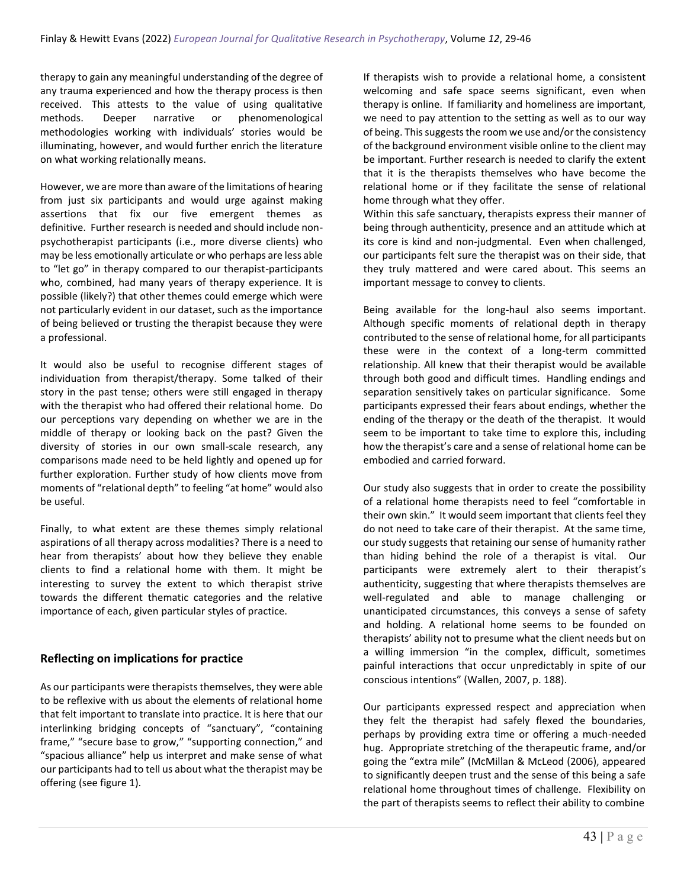therapy to gain any meaningful understanding of the degree of any trauma experienced and how the therapy process is then received. This attests to the value of using qualitative methods. Deeper narrative or phenomenological methodologies working with individuals' stories would be illuminating, however, and would further enrich the literature on what working relationally means.

However, we are more than aware of the limitations of hearing from just six participants and would urge against making assertions that fix our five emergent themes as definitive. Further research is needed and should include nonpsychotherapist participants (i.e., more diverse clients) who may be less emotionally articulate or who perhaps are less able to "let go" in therapy compared to our therapist-participants who, combined, had many years of therapy experience. It is possible (likely?) that other themes could emerge which were not particularly evident in our dataset, such as the importance of being believed or trusting the therapist because they were a professional.

It would also be useful to recognise different stages of individuation from therapist/therapy. Some talked of their story in the past tense; others were still engaged in therapy with the therapist who had offered their relational home. Do our perceptions vary depending on whether we are in the middle of therapy or looking back on the past? Given the diversity of stories in our own small-scale research, any comparisons made need to be held lightly and opened up for further exploration. Further study of how clients move from moments of "relational depth" to feeling "at home" would also be useful.

Finally, to what extent are these themes simply relational aspirations of all therapy across modalities? There is a need to hear from therapists' about how they believe they enable clients to find a relational home with them. It might be interesting to survey the extent to which therapist strive towards the different thematic categories and the relative importance of each, given particular styles of practice.

### **Reflecting on implications for practice**

As our participants were therapists themselves, they were able to be reflexive with us about the elements of relational home that felt important to translate into practice. It is here that our interlinking bridging concepts of "sanctuary", "containing frame," "secure base to grow," "supporting connection," and "spacious alliance" help us interpret and make sense of what our participants had to tell us about what the therapist may be offering (see figure 1).

If therapists wish to provide a relational home, a consistent welcoming and safe space seems significant, even when therapy is online. If familiarity and homeliness are important, we need to pay attention to the setting as well as to our way of being. This suggests the room we use and/or the consistency of the background environment visible online to the client may be important. Further research is needed to clarify the extent that it is the therapists themselves who have become the relational home or if they facilitate the sense of relational home through what they offer.

Within this safe sanctuary, therapists express their manner of being through authenticity, presence and an attitude which at its core is kind and non-judgmental. Even when challenged, our participants felt sure the therapist was on their side, that they truly mattered and were cared about. This seems an important message to convey to clients.

Being available for the long-haul also seems important. Although specific moments of relational depth in therapy contributed to the sense of relational home, for all participants these were in the context of a long-term committed relationship. All knew that their therapist would be available through both good and difficult times. Handling endings and separation sensitively takes on particular significance. Some participants expressed their fears about endings, whether the ending of the therapy or the death of the therapist. It would seem to be important to take time to explore this, including how the therapist's care and a sense of relational home can be embodied and carried forward.

Our study also suggests that in order to create the possibility of a relational home therapists need to feel "comfortable in their own skin." It would seem important that clients feel they do not need to take care of their therapist. At the same time, our study suggests that retaining our sense of humanity rather than hiding behind the role of a therapist is vital. Our participants were extremely alert to their therapist's authenticity, suggesting that where therapists themselves are well-regulated and able to manage challenging or unanticipated circumstances, this conveys a sense of safety and holding. A relational home seems to be founded on therapists' ability not to presume what the client needs but on a willing immersion "in the complex, difficult, sometimes painful interactions that occur unpredictably in spite of our conscious intentions" (Wallen, 2007, p. 188).

Our participants expressed respect and appreciation when they felt the therapist had safely flexed the boundaries, perhaps by providing extra time or offering a much-needed hug. Appropriate stretching of the therapeutic frame, and/or going the "extra mile" (McMillan & McLeod (2006), appeared to significantly deepen trust and the sense of this being a safe relational home throughout times of challenge. Flexibility on the part of therapists seems to reflect their ability to combine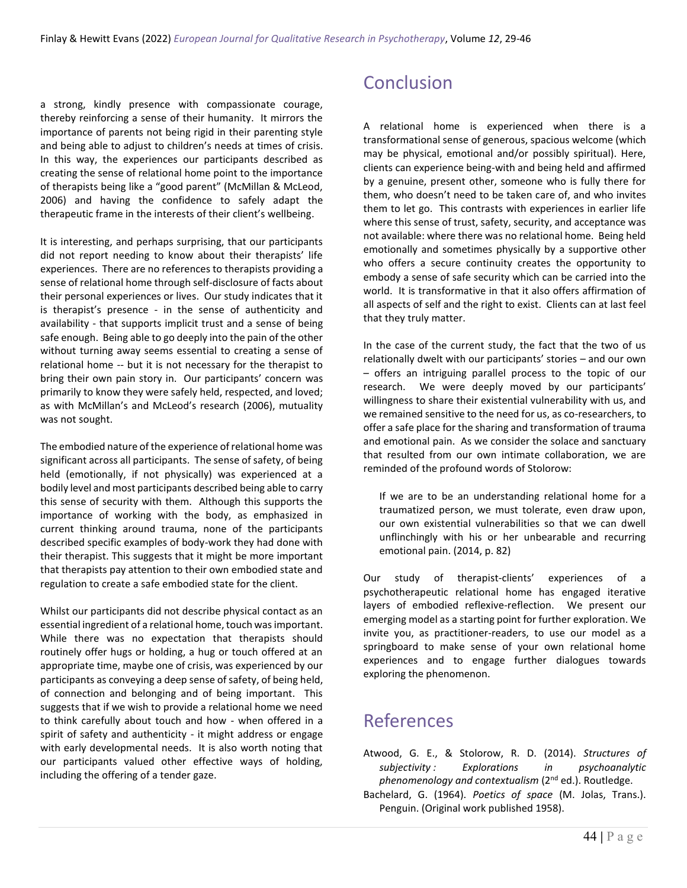a strong, kindly presence with compassionate courage, thereby reinforcing a sense of their humanity. It mirrors the importance of parents not being rigid in their parenting style and being able to adjust to children's needs at times of crisis. In this way, the experiences our participants described as creating the sense of relational home point to the importance of therapists being like a "good parent" (McMillan & McLeod, 2006) and having the confidence to safely adapt the therapeutic frame in the interests of their client's wellbeing.

It is interesting, and perhaps surprising, that our participants did not report needing to know about their therapists' life experiences. There are no references to therapists providing a sense of relational home through self-disclosure of facts about their personal experiences or lives. Our study indicates that it is therapist's presence - in the sense of authenticity and availability - that supports implicit trust and a sense of being safe enough. Being able to go deeply into the pain of the other without turning away seems essential to creating a sense of relational home -- but it is not necessary for the therapist to bring their own pain story in. Our participants' concern was primarily to know they were safely held, respected, and loved; as with McMillan's and McLeod's research (2006), mutuality was not sought.

The embodied nature of the experience of relational home was significant across all participants. The sense of safety, of being held (emotionally, if not physically) was experienced at a bodily level and most participants described being able to carry this sense of security with them. Although this supports the importance of working with the body, as emphasized in current thinking around trauma, none of the participants described specific examples of body-work they had done with their therapist. This suggests that it might be more important that therapists pay attention to their own embodied state and regulation to create a safe embodied state for the client.

Whilst our participants did not describe physical contact as an essential ingredient of a relational home, touch was important. While there was no expectation that therapists should routinely offer hugs or holding, a hug or touch offered at an appropriate time, maybe one of crisis, was experienced by our participants as conveying a deep sense of safety, of being held, of connection and belonging and of being important. This suggests that if we wish to provide a relational home we need to think carefully about touch and how - when offered in a spirit of safety and authenticity - it might address or engage with early developmental needs. It is also worth noting that our participants valued other effective ways of holding, including the offering of a tender gaze.

## Conclusion

A relational home is experienced when there is a transformational sense of generous, spacious welcome (which may be physical, emotional and/or possibly spiritual). Here, clients can experience being-with and being held and affirmed by a genuine, present other, someone who is fully there for them, who doesn't need to be taken care of, and who invites them to let go. This contrasts with experiences in earlier life where this sense of trust, safety, security, and acceptance was not available: where there was no relational home. Being held emotionally and sometimes physically by a supportive other who offers a secure continuity creates the opportunity to embody a sense of safe security which can be carried into the world. It is transformative in that it also offers affirmation of all aspects of self and the right to exist. Clients can at last feel that they truly matter.

In the case of the current study, the fact that the two of us relationally dwelt with our participants' stories – and our own – offers an intriguing parallel process to the topic of our research. We were deeply moved by our participants' willingness to share their existential vulnerability with us, and we remained sensitive to the need for us, as co-researchers, to offer a safe place for the sharing and transformation of trauma and emotional pain. As we consider the solace and sanctuary that resulted from our own intimate collaboration, we are reminded of the profound words of Stolorow:

If we are to be an understanding relational home for a traumatized person, we must tolerate, even draw upon, our own existential vulnerabilities so that we can dwell unflinchingly with his or her unbearable and recurring emotional pain. (2014, p. 82)

Our study of therapist-clients' experiences of a psychotherapeutic relational home has engaged iterative layers of embodied reflexive-reflection. We present our emerging model as a starting point for further exploration. We invite you, as practitioner-readers, to use our model as a springboard to make sense of your own relational home experiences and to engage further dialogues towards exploring the phenomenon.

### References

- Atwood, G. E., & Stolorow, R. D. (2014). *Structures of subjectivity : Explorations in psychoanalytic*  phenomenology and contextualism (2<sup>nd</sup> ed.). Routledge.
- Bachelard, G. (1964). *Poetics of space* (M. Jolas, Trans.). Penguin. (Original work published 1958).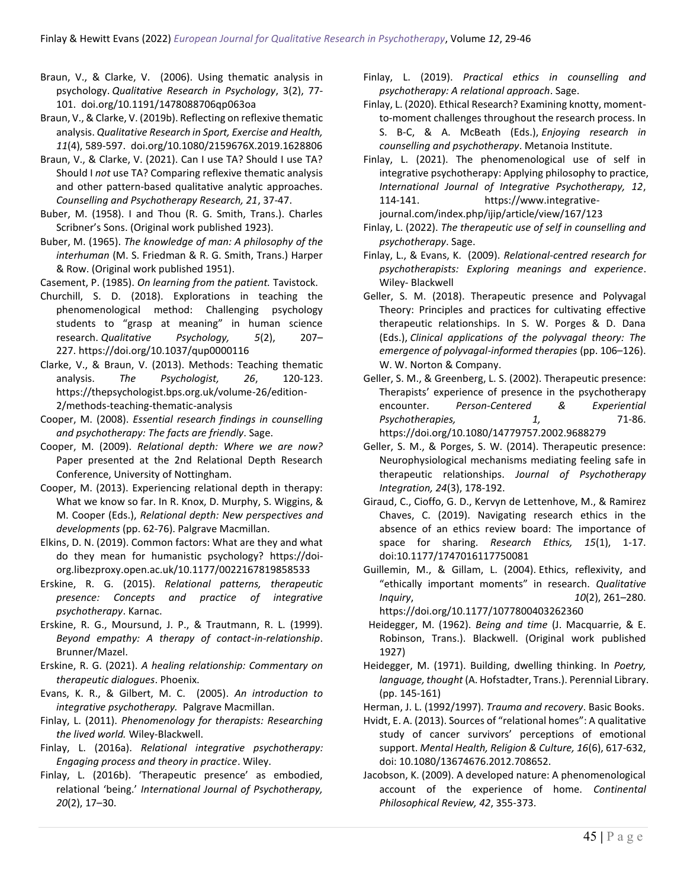- Braun, V., & Clarke, V. (2006). Using thematic analysis in psychology. *Qualitative Research in Psychology*, 3(2), 77- 101. doi.org/10.1191/1478088706qp063oa
- Braun, V., & Clarke, V. (2019b). Reflecting on reflexive thematic analysis. *Qualitative Research in Sport, Exercise and Health, 11*(4), 589-597. doi.org/10.1080/2159676X.2019.1628806
- Braun, V., & Clarke, V. (2021). Can I use TA? Should I use TA? Should I *not* use TA? Comparing reflexive thematic analysis and other pattern‐based qualitative analytic approaches. *Counselling and Psychotherapy Research, 21*, 37-47.
- Buber, M. (1958). I and Thou (R. G. Smith, Trans.). Charles Scribner's Sons. (Original work published 1923).
- Buber, M. (1965). *The knowledge of man: A philosophy of the interhuman* (M. S. Friedman & R. G. Smith, Trans.) Harper & Row. (Original work published 1951).

Casement, P. (1985). *On learning from the patient.* Tavistock.

- Churchill, S. D. (2018). Explorations in teaching the phenomenological method: Challenging psychology students to "grasp at meaning" in human science research. *Qualitative Psychology, 5*(2), 207– 227. https://doi.org/10.1037/qup0000116
- Clarke, V., & Braun, V. (2013). Methods: Teaching thematic analysis. *The Psychologist, 26*, 120-123. https://thepsychologist.bps.org.uk/volume-26/edition-2/methods-teaching-thematic-analysis
- Cooper, M. (2008). *Essential research findings in counselling and psychotherapy: The facts are friendly*. Sage.
- Cooper, M. (2009). *Relational depth: Where we are now?* Paper presented at the 2nd Relational Depth Research Conference, University of Nottingham.
- Cooper, M. (2013). Experiencing relational depth in therapy: What we know so far. In R. Knox, D. Murphy, S. Wiggins, & M. Cooper (Eds.), *Relational depth: New perspectives and developments* (pp. 62-76). Palgrave Macmillan.
- Elkins, D. N. (2019). Common factors: What are they and what do they mean for humanistic psychology? https://doiorg.libezproxy.open.ac.uk/10.1177/0022167819858533
- Erskine, R. G. (2015). *Relational patterns, therapeutic presence: Concepts and practice of integrative psychotherapy*. Karnac.
- Erskine, R. G., Moursund, J. P., & Trautmann, R. L. (1999). *Beyond empathy: A therapy of contact-in-relationship*. Brunner/Mazel.
- Erskine, R. G. (2021). *A healing relationship: Commentary on therapeutic dialogues*. Phoenix.
- Evans, K. R., & Gilbert, M. C. (2005). *An introduction to integrative psychotherapy.* Palgrave Macmillan.
- Finlay, L. (2011). *Phenomenology for therapists: Researching the lived world.* Wiley-Blackwell.
- Finlay, L. (2016a). *Relational integrative psychotherapy: Engaging process and theory in practice*. Wiley.
- Finlay, L. (2016b). 'Therapeutic presence' as embodied, relational 'being.' *International Journal of Psychotherapy, 20*(2), 17–30.
- Finlay, L. (2019). *Practical ethics in counselling and psychotherapy: A relational approach*. Sage.
- Finlay, L. (2020). Ethical Research? Examining knotty, momentto-moment challenges throughout the research process. In S. B-C, & A. McBeath (Eds.), *Enjoying research in counselling and psychotherapy*. Metanoia Institute.
- Finlay, L. (2021). The phenomenological use of self in integrative psychotherapy: Applying philosophy to practice, *International Journal of Integrative Psychotherapy, 12*, 114-141. https://www.integrativejournal.com/index.php/ijip/article/view/167/123
- Finlay, L. (2022). *The therapeutic use of self in counselling and psychotherapy*. Sage.
- Finlay, L., & Evans, K. (2009). *Relational-centred research for psychotherapists: Exploring meanings and experience*. Wiley- Blackwell
- Geller, S. M. (2018). Therapeutic presence and Polyvagal Theory: Principles and practices for cultivating effective therapeutic relationships. In S. W. Porges & D. Dana (Eds.), *Clinical applications of the polyvagal theory: The emergence of polyvagal-informed therapies* (pp. 106–126). W. W. Norton & Company.
- Geller, S. M., & Greenberg, L. S. (2002). Therapeutic presence: Therapists' experience of presence in the psychotherapy encounter. *Person-Centered & Experiential*  Psychotherapies,  $1, 71-86.$ https://doi.org/10.1080/14779757.2002.9688279
- Geller, S. M., & Porges, S. W. (2014). Therapeutic presence: Neurophysiological mechanisms mediating feeling safe in therapeutic relationships. *Journal of Psychotherapy Integration, 24*(3), 178-192.
- Giraud, C., Cioffo, G. D., Kervyn de Lettenhove, M., & Ramirez Chaves, C. (2019). Navigating research ethics in the absence of an ethics review board: The importance of space for sharing. *Research Ethics, 15*(1), 1-17. doi:10.1177/1747016117750081
- Guillemin, M., & Gillam, L. (2004). Ethics, reflexivity, and "ethically important moments" in research. *Qualitative Inquiry*, *10*(2), 261–280.

https://doi.org/10.1177/1077800403262360

- Heidegger, M. (1962). *Being and time* (J. Macquarrie, & E. Robinson, Trans.). Blackwell. (Original work published 1927)
- Heidegger, M. (1971). Building, dwelling thinking. In *Poetry, language, thought* (A. Hofstadter, Trans.). Perennial Library. (pp. 145-161)
- Herman, J. L. (1992/1997). *Trauma and recovery*. Basic Books.
- Hvidt, E. A. (2013). Sources of "relational homes": A qualitative study of cancer survivors' perceptions of emotional support. *Mental Health, Religion & Culture, 16*(6), 617-632, doi: 10.1080/13674676.2012.708652.
- Jacobson, K. (2009). A developed nature: A phenomenological account of the experience of home. *Continental Philosophical Review, 42*, 355-373.